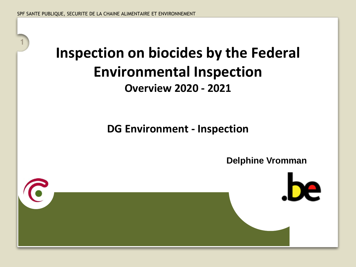**1**

## **Inspection on biocides by the Federal Environmental Inspection Overview 2020 - 2021**

**DG Environment - Inspection**

**Delphine Vromman**

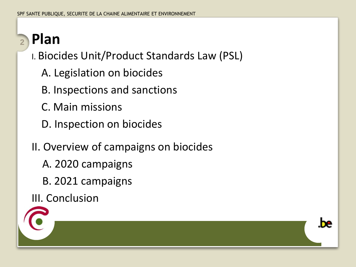#### **Plan 2**

- I. Biocides Unit/Product Standards Law (PSL)
	- A. Legislation on biocides
	- B. Inspections and sanctions
	- C. Main missions
	- D. Inspection on biocides
- II. Overview of campaigns on biocides

he.

- A. 2020 campaigns
- B. 2021 campaigns
- III. Conclusion

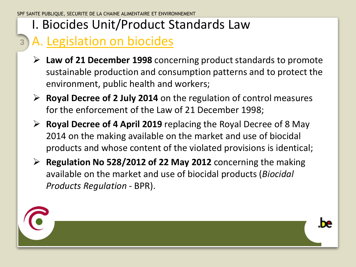#### A. Legislation on biocides **3**

- ➢ **Law of 21 December 1998** concerning product standards to promote sustainable production and consumption patterns and to protect the environment, public health and workers;
- ➢ **Royal Decree of 2 July 2014** on the regulation of control measures for the enforcement of the Law of 21 December 1998;
- ➢ **Royal Decree of 4 April 2019** replacing the Royal Decree of 8 May 2014 on the making available on the market and use of biocidal products and whose content of the violated provisions is identical;
- ➢ **Regulation No 528/2012 of 22 May 2012** concerning the making available on the market and use of biocidal products (*Biocidal Products Regulation* - BPR).



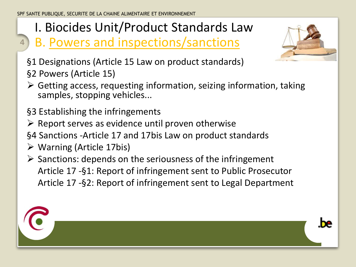### B. Powers and inspections/sanctions



§1 Designations (Article 15 Law on product standards) §2 Powers (Article 15)

 $\triangleright$  Getting access, requesting information, seizing information, taking samples, stopping vehicles...

§3 Establishing the infringements

 $\triangleright$  Report serves as evidence until proven otherwise

§4 Sanctions -Article 17 and 17bis Law on product standards

➢ Warning (Article 17bis)

**4**

 $\triangleright$  Sanctions: depends on the seriousness of the infringement Article 17 -§1: Report of infringement sent to Public Prosecutor Article 17 -§2: Report of infringement sent to Legal Department

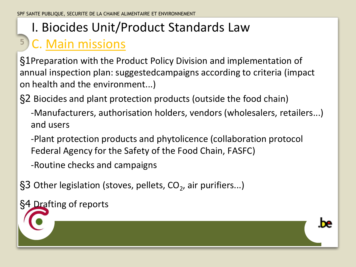#### **5** C. Main missions

§1Preparation with the Product Policy Division and implementation of annual inspection plan: suggestedcampaigns according to criteria (impact on health and the environment...)

§2 Biocides and plant protection products (outside the food chain)

-Manufacturers, authorisation holders, vendors (wholesalers, retailers...) and users

-Plant protection products and phytolicence (collaboration protocol Federal Agency for the Safety of the Food Chain, FASFC)

-Routine checks and campaigns

§3 Other legislation (stoves, pellets, CO<sub>2</sub>, air purifiers...)

§4 Drafting of reports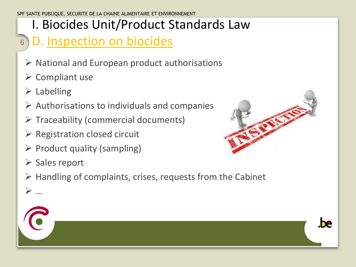#### **6** D. Inspection on biocides

- $\triangleright$  National and European product authorisations
- ➢ Compliant use
- $\triangleright$  Labelling
- $\triangleright$  Authorisations to individuals and companies
- $\triangleright$  Traceability (commercial documents)
- $\triangleright$  Registration closed circuit
- $\triangleright$  Product quality (sampling)
- ➢ Sales report
- $\triangleright$  Handling of complaints, crises, requests from the Cabinet



.be



➢ …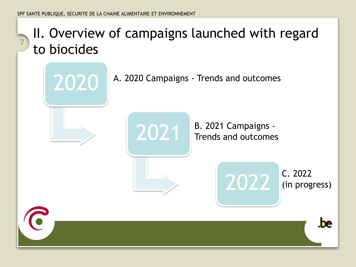## II. Overview of campaigns launched with regard to biocides **<sup>7</sup>**







2021 B. 2021 Campaigns -Trends and outcomes



(in progress)

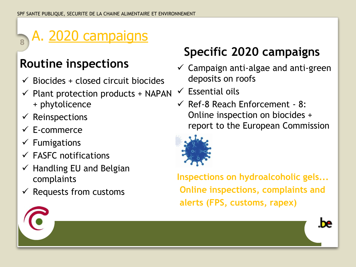#### A. 2020 campaigns **8**

### **Routine inspections**

- $\checkmark$  Biocides + closed circuit biocides
- $\checkmark$  Plant protection products + NAPAN + phytolicence
- $\checkmark$  Reinspections
- $\checkmark$  E-commerce
- $\checkmark$  Fumigations
- $\checkmark$  FASFC notifications
- $\checkmark$  Handling EU and Belgian complaints
- $\checkmark$  Requests from customs

### **Specific 2020 campaigns**

- $\checkmark$  Campaign anti-algae and anti-green deposits on roofs
- $\checkmark$  Essential oils
- $\checkmark$  Ref-8 Reach Enforcement 8: Online inspection on biocides + report to the European Commission



**Inspections on hydroalcoholic gels... Online inspections, complaints and alerts (FPS, customs, rapex)**

he.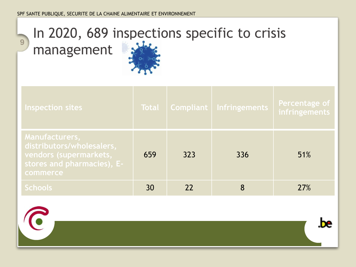## In 2020, 689 inspections specific to crisis

management

**9**

 $\mathbf C$ 



| Inspection sites                                                                                                       | <b>Total</b> |     | Compliant   Infringements | Percentage of<br>infringements |
|------------------------------------------------------------------------------------------------------------------------|--------------|-----|---------------------------|--------------------------------|
| Manufacturers,<br>distributors/wholesalers,<br>vendors (supermarkets,<br>stores and pharmacies), E-<br><b>commerce</b> | 659          | 323 | 336                       | 51%                            |
| <b>Schools</b>                                                                                                         | 30           | 22  | 8                         | 27%                            |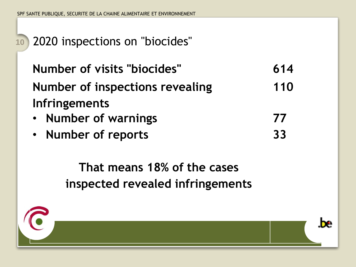### **<sup>10</sup>** 2020 inspections on "biocides"

**Number of visits "biocides" 614 Number of inspections revealing Infringements 110 77**

- **Number of warnings**
- **Number of reports**

**That means 18% of the cases inspected revealed infringements** 





**33**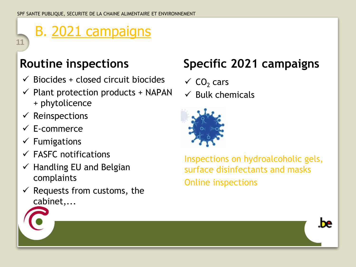# B. 2021 campaigns

### **Routine inspections**

- $\checkmark$  Biocides + closed circuit biocides
- $\checkmark$  Plant protection products + NAPAN + phytolicence
- $\checkmark$  Reinspections

**11**

- ✓ E-commerce
- $\checkmark$  Fumigations
- $\checkmark$  FASFC notifications
- $\checkmark$  Handling EU and Belgian complaints
- $\checkmark$  Requests from customs, the cabinet,...

## **Specific 2021 campaigns**

- $\checkmark$  CO<sub>2</sub> cars
- $\checkmark$  Bulk chemicals



Inspections on hydroalcoholic gels, surface disinfectants and masks Online inspections

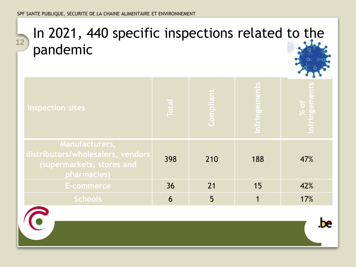$\bullet$ 

# In 2021, 440 specific inspections related to the 12<sup>12</sup> pandemic



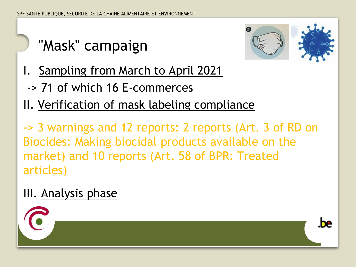# "Mask" campaign



be

- I. Sampling from March to April 2021
	- -> 71 of which 16 E-commerces
- II. Verification of mask labeling compliance

-> 3 warnings and 12 reports: 2 reports (Art. 3 of RD on Biocides: Making biocidal products available on the market) and 10 reports (Art. 58 of BPR: Treated articles)

### III. Analysis phase

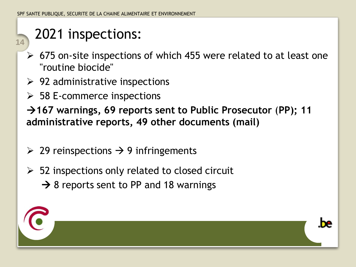## 2021 inspections:

**14**

- ➢ 675 on-site inspections of which 455 were related to at least one "routine biocide"
- $\geq$  92 administrative inspections
- ➢ 58 E-commerce inspections

→ 167 warnings, 69 reports sent to Public Prosecutor (PP); 11 **administrative reports, 49 other documents (mail)**

- $\geq$  29 reinspections  $\rightarrow$  9 infringements
- $\geq$  52 inspections only related to closed circuit  $\rightarrow$  8 reports sent to PP and 18 warnings

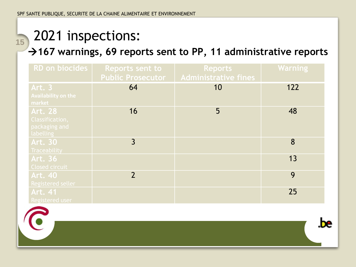# 15</sub> 2021 inspections:

#### →167 warnings, 69 reports sent to PP, 11 administrative reports

| RD on biocides                           | <b>Reports sent to</b><br><b>Public Prosecutor</b> | <b>Reports</b><br><b>Administrative fines</b> | <b>Warning</b> |
|------------------------------------------|----------------------------------------------------|-----------------------------------------------|----------------|
| <b>Art. 3</b>                            | 64                                                 | 10                                            | 122            |
| <b>Availability on the</b><br>market     |                                                    |                                               |                |
| <b>Art. 28</b>                           | 16                                                 | 5                                             | 48             |
| Classification,                          |                                                    |                                               |                |
| packaging and                            |                                                    |                                               |                |
| labelling<br><b>Art. 30</b>              | 3                                                  |                                               | 8              |
| <b>Traceability</b>                      |                                                    |                                               |                |
| <b>Art. 36</b>                           |                                                    |                                               | 13             |
| Closed circuit<br><b>Art. 40</b>         | $\overline{2}$                                     |                                               | 9              |
| <b>Registered seller</b>                 |                                                    |                                               |                |
| <b>Art. 41</b><br><b>Registered user</b> |                                                    |                                               | 25             |

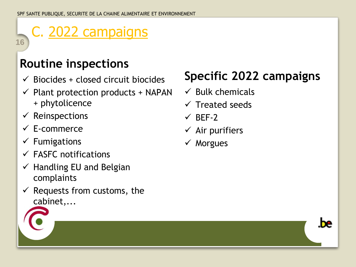# C. 2022 campaigns

### **Routine inspections**

- $\checkmark$  Biocides + closed circuit biocides
- $\checkmark$  Plant protection products + NAPAN + phytolicence
- $\checkmark$  Reinspections

**16**

- ✓ E-commerce
- $\checkmark$  Fumigations
- $\checkmark$  FASFC notifications
- $\checkmark$  Handling EU and Belgian complaints
- $\checkmark$  Requests from customs, the cabinet,...

### **Specific 2022 campaigns**

he.

- $\checkmark$  Bulk chemicals
- $\checkmark$  Treated seeds
- $\checkmark$  BEF-2
- $\checkmark$  Air purifiers
- ✓ Morgues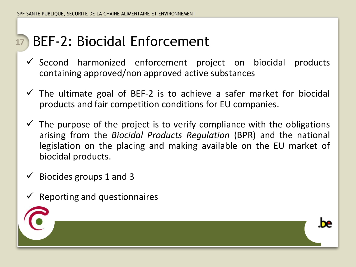#### BEF-2: Biocidal Enforcement **17**

- $\checkmark$  Second harmonized enforcement project on biocidal products containing approved/non approved active substances
- $\checkmark$  The ultimate goal of BEF-2 is to achieve a safer market for biocidal products and fair competition conditions for EU companies.
- $\checkmark$  The purpose of the project is to verify compliance with the obligations arising from the *Biocidal Products Regulation* (BPR) and the national legislation on the placing and making available on the EU market of biocidal products.
- $\checkmark$  Biocides groups 1 and 3
- $\checkmark$  Reporting and questionnaires



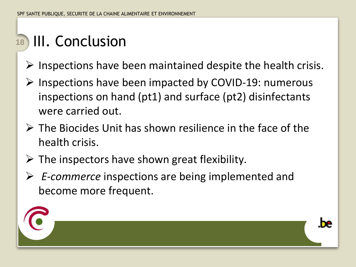# 18 III. Conclusion

- $\triangleright$  Inspections have been maintained despite the health crisis.
- ➢ Inspections have been impacted by COVID-19: numerous inspections on hand (pt1) and surface (pt2) disinfectants were carried out.
- $\triangleright$  The Biocides Unit has shown resilience in the face of the health crisis.
- $\triangleright$  The inspectors have shown great flexibility.
- ➢ *E-commerce* inspections are being implemented and become more frequent.